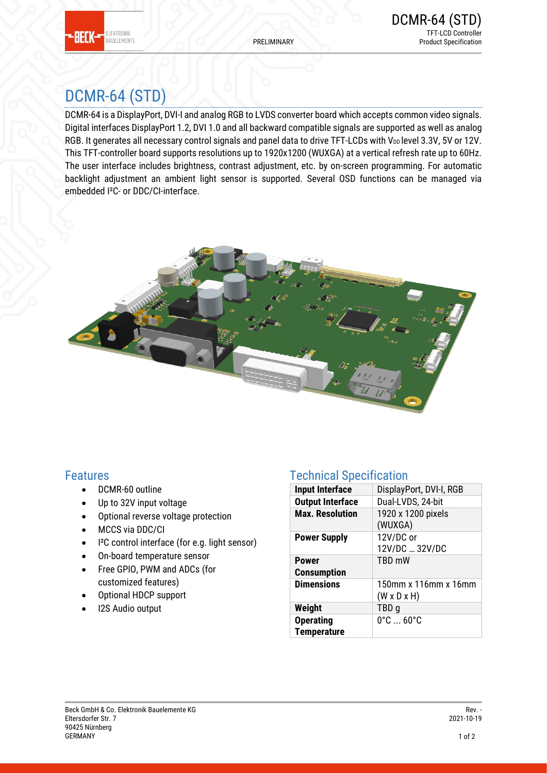

# DCMR-64 (STD)

DCMR-64 is a DisplayPort, DVI-I and analog RGB to LVDS converter board which accepts common video signals. Digital interfaces DisplayPort 1.2, DVI 1.0 and all backward compatible signals are supported as well as analog RGB. It generates all necessary control signals and panel data to drive TFT-LCDs with V<sub>DD</sub> level 3.3V, 5V or 12V. This TFT-controller board supports resolutions up to 1920x1200 (WUXGA) at a vertical refresh rate up to 60Hz. The user interface includes brightness, contrast adjustment, etc. by on-screen programming. For automatic backlight adjustment an ambient light sensor is supported. Several OSD functions can be managed via embedded I²C- or DDC/CI-interface.



### Features

- DCMR-60 outline
- Up to 32V input voltage
- Optional reverse voltage protection
- MCCS via DDC/CI
- I²C control interface (for e.g. light sensor)
- On-board temperature sensor
- Free GPIO, PWM and ADCs (for customized features)
- Optional HDCP support
- I2S Audio output

### Technical Specification

| <b>Input Interface</b>                 | DisplayPort, DVI-I, RGB                         |  |
|----------------------------------------|-------------------------------------------------|--|
| <b>Output Interface</b>                | Dual-LVDS, 24-bit                               |  |
| <b>Max. Resolution</b>                 | 1920 x 1200 pixels<br>(WUXGA)                   |  |
| <b>Power Supply</b>                    | 12V/DC or<br>12V/DC  32V/DC                     |  |
| <b>Power</b><br><b>Consumption</b>     | TBD mW                                          |  |
| <b>Dimensions</b>                      | 150mm x 116mm x 16mm<br>$(W \times D \times H)$ |  |
| Weight                                 | TBD <sub>g</sub>                                |  |
| <b>Operating</b><br><b>Temperature</b> | $0^{\circ}$ C $$ 60 $^{\circ}$ C                |  |